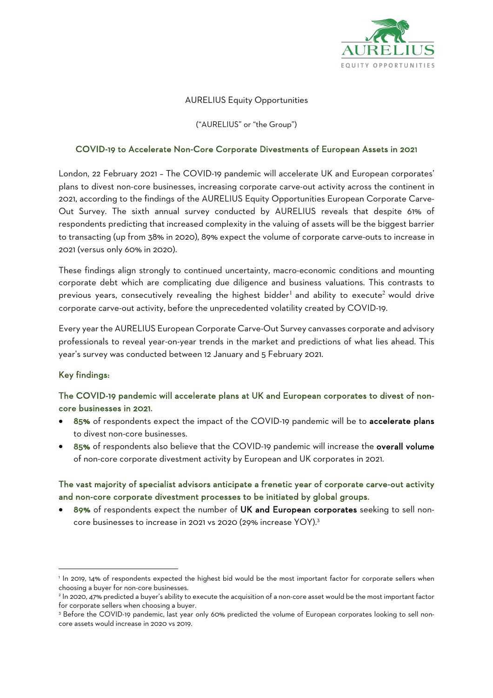

### AURELIUS Equity Opportunities

("AURELIUS" or "the Group")

#### COVID-19 to Accelerate Non-Core Corporate Divestments of European Assets in 2021

London, 22 February 2021 – The COVID-19 pandemic will accelerate UK and European corporates' plans to divest non-core businesses, increasing corporate carve-out activity across the continent in 2021, according to the findings of the AURELIUS Equity Opportunities European Corporate Carve-Out Survey. The sixth annual survey conducted by AURELIUS reveals that despite 61% of respondents predicting that increased complexity in the valuing of assets will be the biggest barrier to transacting (up from 38% in 2020), 89% expect the volume of corporate carve-outs to increase in 2021 (versus only 60% in 2020).

These findings align strongly to continued uncertainty, macro-economic conditions and mounting corporate debt which are complicating due diligence and business valuations. This contrasts to previous years, consecutively revealing the highest bidder<sup>1</sup> and ability to execute<sup>2</sup> would drive corporate carve-out activity, before the unprecedented volatility created by COVID-19.

Every year the AURELIUS European Corporate Carve-Out Survey canvasses corporate and advisory professionals to reveal year-on-year trends in the market and predictions of what lies ahead. This year's survey was conducted between 12 January and 5 February 2021.

### Key findings:

# The COVID-19 pandemic will accelerate plans at UK and European corporates to divest of noncore businesses in 2021.

- 85% of respondents expect the impact of the COVID-19 pandemic will be to accelerate plans to divest non-core businesses.
- 85% of respondents also believe that the COVID-19 pandemic will increase the overall volume of non-core corporate divestment activity by European and UK corporates in 2021.

### The vast majority of specialist advisors anticipate a frenetic year of corporate carve-out activity and non-core corporate divestment processes to be initiated by global groups.

• 89% of respondents expect the number of UK and European corporates seeking to sell noncore businesses to increase in 2021 vs 2020 (29% increase YOY). 3

<sup>&</sup>lt;sup>1</sup> In 2019, 14% of respondents expected the highest bid would be the most important factor for corporate sellers when choosing a buyer for non-core businesses.<br><sup>2</sup> In 2020, 47% predicted a buyer's ability to execute the acquisition of a non-core asset would be the most important factor

for corporate sellers when choosing a buyer.<br><sup>3</sup> Before the COVID-19 pandemic, last year only 60% predicted the volume of European corporates looking to sell non-

core assets would increase in 2020 vs 2019.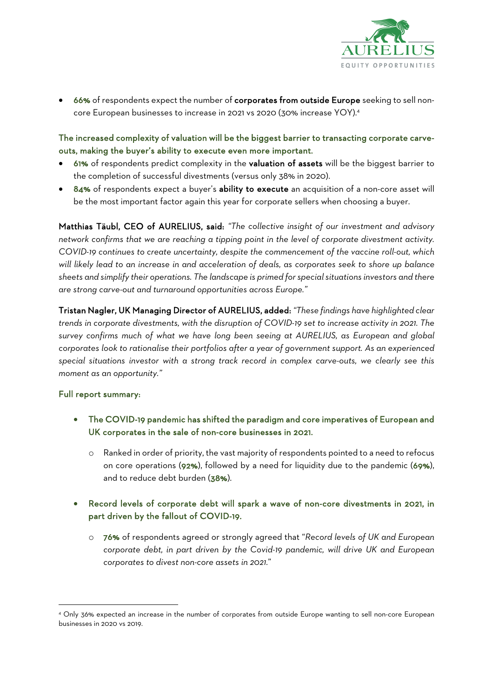

66% of respondents expect the number of corporates from outside Europe seeking to sell noncore European businesses to increase in 2021 vs 2020 (30% increase YOY). 4

The increased complexity of valuation will be the biggest barrier to transacting corporate carveouts, making the buyer's ability to execute even more important.

- 61% of respondents predict complexity in the valuation of assets will be the biggest barrier to the completion of successful divestments (versus only 38% in 2020).
- 84% of respondents expect a buyer's ability to execute an acquisition of a non-core asset will be the most important factor again this year for corporate sellers when choosing a buyer.

Matthias Täubl, CEO of AURELIUS, said: *"The collective insight of our investment and advisory network confirms that we are reaching a tipping point in the level of corporate divestment activity. COVID-19 continues to create uncertainty, despite the commencement of the vaccine roll-out, which will likely lead to an increase in and acceleration of deals, as corporates seek to shore up balance sheets and simplify their operations. The landscape is primed for special situations investors and there are strong carve-out and turnaround opportunities across Europe."* 

Tristan Nagler, UK Managing Director of AURELIUS, added: *"These findings have highlighted clear trends in corporate divestments, with the disruption of COVID-19 set to increase activity in 2021. The survey confirms much of what we have long been seeing at AURELIUS, as European and global corporates look to rationalise their portfolios after a year of government support. As an experienced special situations investor with a strong track record in complex carve-outs, we clearly see this moment as an opportunity."*

### Full report summary:

- The COVID-19 pandemic has shifted the paradigm and core imperatives of European and UK corporates in the sale of non-core businesses in 2021.
	- o Ranked in order of priority, the vast majority of respondents pointed to a need to refocus on core operations (92%), followed by a need for liquidity due to the pandemic (69%), and to reduce debt burden (38%).
- Record levels of corporate debt will spark a wave of non-core divestments in 2021, in part driven by the fallout of COVID-19.
	- o 76% of respondents agreed or strongly agreed that "*Record levels of UK and European corporate debt, in part driven by the Covid-19 pandemic, will drive UK and European corporates to divest non-core assets in 2021.*"

<sup>4</sup> Only 36% expected an increase in the number of corporates from outside Europe wanting to sell non-core European businesses in 2020 vs 2019.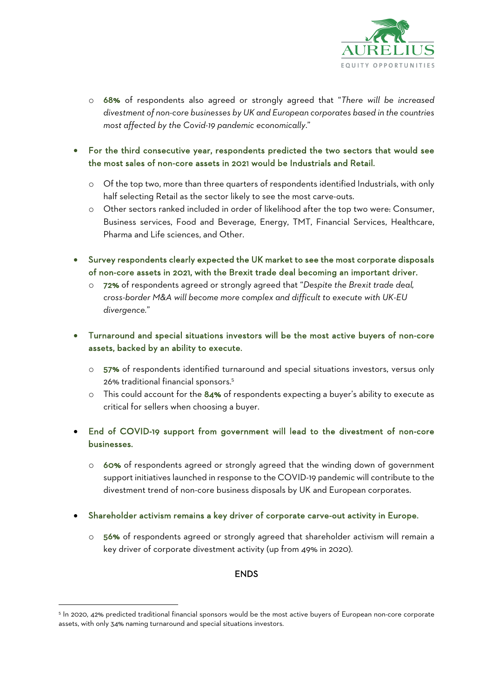

- o 68% of respondents also agreed or strongly agreed that "*There will be increased divestment of non-core businesses by UK and European corporates based in the countries most affected by the Covid-19 pandemic economically*."
- For the third consecutive year, respondents predicted the two sectors that would see the most sales of non-core assets in 2021 would be Industrials and Retail.
	- o Of the top two, more than three quarters of respondents identified Industrials, with only half selecting Retail as the sector likely to see the most carve-outs.
	- o Other sectors ranked included in order of likelihood after the top two were: Consumer, Business services, Food and Beverage, Energy, TMT, Financial Services, Healthcare, Pharma and Life sciences, and Other.
- Survey respondents clearly expected the UK market to see the most corporate disposals of non-core assets in 2021, with the Brexit trade deal becoming an important driver.
	- o 72% of respondents agreed or strongly agreed that "*Despite the Brexit trade deal, cross-border M&A will become more complex and difficult to execute with UK-EU divergence.*"
- Turnaround and special situations investors will be the most active buyers of non-core assets, backed by an ability to execute.
	- o 57% of respondents identified turnaround and special situations investors, versus only 26% traditional financial sponsors.5
	- o This could account for the 84% of respondents expecting a buyer's ability to execute as critical for sellers when choosing a buyer.
- End of COVID-19 support from government will lead to the divestment of non-core businesses.
	- o 60% of respondents agreed or strongly agreed that the winding down of government support initiatives launched in response to the COVID-19 pandemic will contribute to the divestment trend of non-core business disposals by UK and European corporates.
- Shareholder activism remains a key driver of corporate carve-out activity in Europe.
	- o 56% of respondents agreed or strongly agreed that shareholder activism will remain a key driver of corporate divestment activity (up from 49% in 2020).

### ENDS

<sup>5</sup> In 2020, 42% predicted traditional financial sponsors would be the most active buyers of European non-core corporate assets, with only 34% naming turnaround and special situations investors.